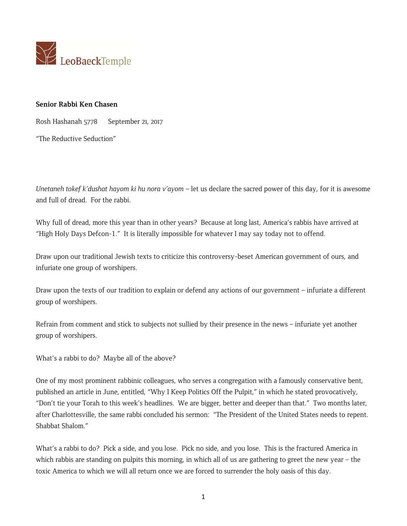

## **Senior Rabbi Ken Chasen**

Rosh Hashanah 5778 September 21, 2017

"The Reductive Seduction"

*Unetaneh tokef k'dushat hayom ki hu nora v'ayom* – let us declare the sacred power of this day, for it is awesome and full of dread. For the rabbi.

Why full of dread, more this year than in other years? Because at long last, America's rabbis have arrived at "High Holy Days Defcon-1." It is literally impossible for whatever I may say today not to offend.

Draw upon our traditional Jewish texts to criticize this controversy-beset American government of ours, and infuriate one group of worshipers.

Draw upon the texts of our tradition to explain or defend any actions of our government – infuriate a different group of worshipers.

Refrain from comment and stick to subjects not sullied by their presence in the news – infuriate yet another group of worshipers.

What's a rabbi to do? Maybe all of the above?

One of my most prominent rabbinic colleagues, who serves a congregation with a famously conservative bent, published an article in June, entitled, "Why I Keep Politics Off the Pulpit," in which he stated provocatively, "Don't tie your Torah to this week's headlines. We are bigger, better and deeper than that." Two months later, after Charlottesville, the same rabbi concluded his sermon: "The President of the United States needs to repent. Shabbat Shalom."

What's a rabbi to do? Pick a side, and you lose. Pick no side, and you lose. This is the fractured America in which rabbis are standing on pulpits this morning, in which all of us are gathering to greet the new year – the toxic America to which we will all return once we are forced to surrender the holy oasis of this day.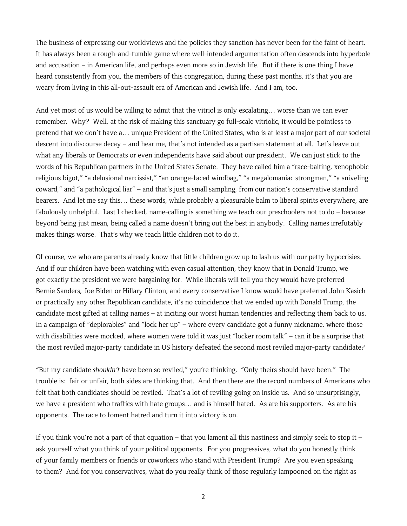The business of expressing our worldviews and the policies they sanction has never been for the faint of heart. It has always been a rough-and-tumble game where well-intended argumentation often descends into hyperbole and accusation – in American life, and perhaps even more so in Jewish life. But if there is one thing I have heard consistently from you, the members of this congregation, during these past months, it's that you are weary from living in this all-out-assault era of American and Jewish life. And I am, too.

And yet most of us would be willing to admit that the vitriol is only escalating… worse than we can ever remember. Why? Well, at the risk of making this sanctuary go full-scale vitriolic, it would be pointless to pretend that we don't have a… unique President of the United States, who is at least a major part of our societal descent into discourse decay – and hear me, that's not intended as a partisan statement at all. Let's leave out what any liberals or Democrats or even independents have said about our president. We can just stick to the words of his Republican partners in the United States Senate. They have called him a "race-baiting, xenophobic religious bigot," "a delusional narcissist," "an orange-faced windbag," "a megalomaniac strongman," "a sniveling coward," and "a pathological liar" – and that's just a small sampling, from our nation's conservative standard bearers. And let me say this… these words, while probably a pleasurable balm to liberal spirits everywhere, are fabulously unhelpful. Last I checked, name-calling is something we teach our preschoolers not to do – because beyond being just mean, being called a name doesn't bring out the best in anybody. Calling names irrefutably makes things worse. That's why we teach little children not to do it.

Of course, we who are parents already know that little children grow up to lash us with our petty hypocrisies. And if our children have been watching with even casual attention, they know that in Donald Trump, we got exactly the president we were bargaining for. While liberals will tell you they would have preferred Bernie Sanders, Joe Biden or Hillary Clinton, and every conservative I know would have preferred John Kasich or practically any other Republican candidate, it's no coincidence that we ended up with Donald Trump, the candidate most gifted at calling names – at inciting our worst human tendencies and reflecting them back to us. In a campaign of "deplorables" and "lock her up" – where every candidate got a funny nickname, where those with disabilities were mocked, where women were told it was just "locker room talk" – can it be a surprise that the most reviled major-party candidate in US history defeated the second most reviled major-party candidate?

"But my candidate *shouldn't* have been so reviled," you're thinking. "Only theirs should have been." The trouble is: fair or unfair, both sides are thinking that. And then there are the record numbers of Americans who felt that both candidates should be reviled. That's a lot of reviling going on inside us. And so unsurprisingly, we have a president who traffics with hate groups… and is himself hated. As are his supporters. As are his opponents. The race to foment hatred and turn it into victory is on.

If you think you're not a part of that equation – that you lament all this nastiness and simply seek to stop it – ask yourself what you think of your political opponents. For you progressives, what do you honestly think of your family members or friends or coworkers who stand with President Trump? Are you even speaking to them? And for you conservatives, what do you really think of those regularly lampooned on the right as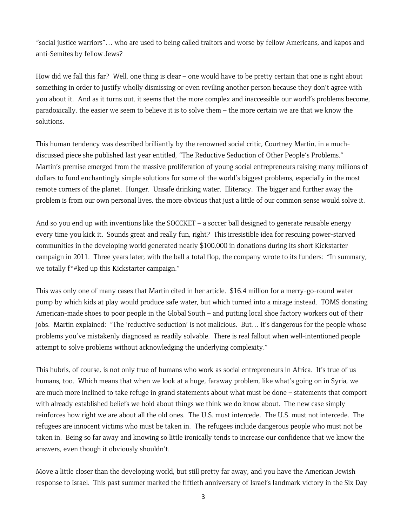"social justice warriors"… who are used to being called traitors and worse by fellow Americans, and kapos and anti-Semites by fellow Jews?

How did we fall this far? Well, one thing is clear – one would have to be pretty certain that one is right about something in order to justify wholly dismissing or even reviling another person because they don't agree with you about it. And as it turns out, it seems that the more complex and inaccessible our world's problems become, paradoxically, the easier we seem to believe it is to solve them – the more certain we are that we know the solutions.

This human tendency was described brilliantly by the renowned social critic, Courtney Martin, in a muchdiscussed piece she published last year entitled, "The Reductive Seduction of Other People's Problems." Martin's premise emerged from the massive proliferation of young social entrepreneurs raising many millions of dollars to fund enchantingly simple solutions for some of the world's biggest problems, especially in the most remote corners of the planet. Hunger. Unsafe drinking water. Illiteracy. The bigger and further away the problem is from our own personal lives, the more obvious that just a little of our common sense would solve it.

And so you end up with inventions like the SOCCKET – a soccer ball designed to generate reusable energy every time you kick it. Sounds great and really fun, right? This irresistible idea for rescuing power-starved communities in the developing world generated nearly \$100,000 in donations during its short Kickstarter campaign in 2011. Three years later, with the ball a total flop, the company wrote to its funders: "In summary, we totally f\*#ked up this Kickstarter campaign."

This was only one of many cases that Martin cited in her article. \$16.4 million for a merry-go-round water pump by which kids at play would produce safe water, but which turned into a mirage instead. TOMS donating American-made shoes to poor people in the Global South – and putting local shoe factory workers out of their jobs. Martin explained: "The 'reductive seduction' is not malicious. But… it's dangerous for the people whose problems you've mistakenly diagnosed as readily solvable. There is real fallout when well-intentioned people attempt to solve problems without acknowledging the underlying complexity."

This hubris, of course, is not only true of humans who work as social entrepreneurs in Africa. It's true of us humans, too. Which means that when we look at a huge, faraway problem, like what's going on in Syria, we are much more inclined to take refuge in grand statements about what must be done – statements that comport with already established beliefs we hold about things we think we do know about. The new case simply reinforces how right we are about all the old ones. The U.S. must intercede. The U.S. must not intercede. The refugees are innocent victims who must be taken in. The refugees include dangerous people who must not be taken in. Being so far away and knowing so little ironically tends to increase our confidence that we know the answers, even though it obviously shouldn't.

Move a little closer than the developing world, but still pretty far away, and you have the American Jewish response to Israel. This past summer marked the fiftieth anniversary of Israel's landmark victory in the Six Day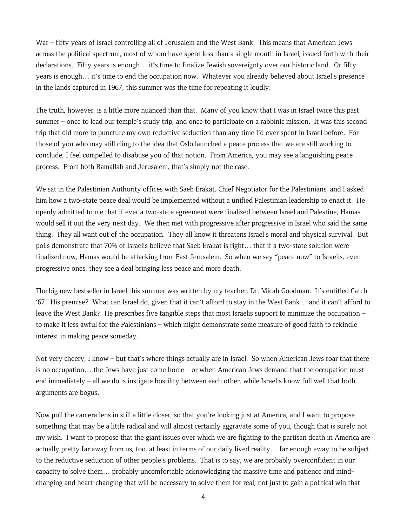War – fifty years of Israel controlling all of Jerusalem and the West Bank. This means that American Jews across the political spectrum, most of whom have spent less than a single month in Israel, issued forth with their declarations. Fifty years is enough… it's time to finalize Jewish sovereignty over our historic land. Or fifty years is enough… it's time to end the occupation now. Whatever you already believed about Israel's presence in the lands captured in 1967, this summer was the time for repeating it loudly.

The truth, however, is a little more nuanced than that. Many of you know that I was in Israel twice this past summer – once to lead our temple's study trip, and once to participate on a rabbinic mission. It was this second trip that did more to puncture my own reductive seduction than any time I'd ever spent in Israel before. For those of you who may still cling to the idea that Oslo launched a peace process that we are still working to conclude, I feel compelled to disabuse you of that notion. From America, you may see a languishing peace process. From both Ramallah and Jerusalem, that's simply not the case.

We sat in the Palestinian Authority offices with Saeb Erakat, Chief Negotiator for the Palestinians, and I asked him how a two-state peace deal would be implemented without a unified Palestinian leadership to enact it. He openly admitted to me that if ever a two-state agreement were finalized between Israel and Palestine, Hamas would sell it out the very next day. We then met with progressive after progressive in Israel who said the same thing. They all want out of the occupation. They all know it threatens Israel's moral and physical survival. But polls demonstrate that 70% of Israelis believe that Saeb Erakat is right… that if a two-state solution were finalized now, Hamas would be attacking from East Jerusalem. So when we say "peace now" to Israelis, even progressive ones, they see a deal bringing less peace and more death.

The big new bestseller in Israel this summer was written by my teacher, Dr. Micah Goodman. It's entitled Catch '67. His premise? What can Israel do, given that it can't afford to stay in the West Bank… and it can't afford to leave the West Bank? He prescribes five tangible steps that most Israelis support to minimize the occupation – to make it less awful for the Palestinians – which might demonstrate some measure of good faith to rekindle interest in making peace someday.

Not very cheery, I know – but that's where things actually are in Israel. So when American Jews roar that there is no occupation… the Jews have just come home – or when American Jews demand that the occupation must end immediately – all we do is instigate hostility between each other, while Israelis know full well that both arguments are bogus.

Now pull the camera lens in still a little closer, so that you're looking just at America, and I want to propose something that may be a little radical and will almost certainly aggravate some of you, though that is surely not my wish. I want to propose that the giant issues over which we are fighting to the partisan death in America are actually pretty far away from us, too, at least in terms of our daily lived reality… far enough away to be subject to the reductive seduction of other people's problems. That is to say, we are probably overconfident in our capacity to solve them… probably uncomfortable acknowledging the massive time and patience and mindchanging and heart-changing that will be necessary to solve them for real, not just to gain a political win that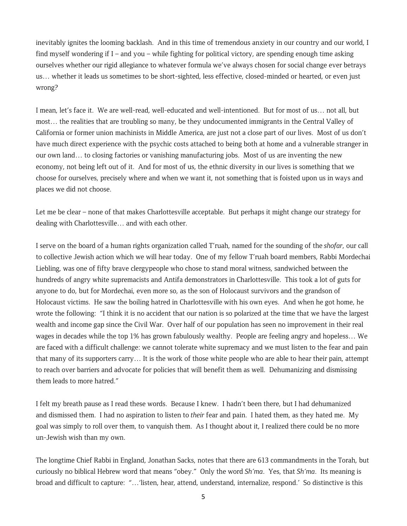inevitably ignites the looming backlash. And in this time of tremendous anxiety in our country and our world, I find myself wondering if I – and you – while fighting for political victory, are spending enough time asking ourselves whether our rigid allegiance to whatever formula we've always chosen for social change ever betrays us… whether it leads us sometimes to be short-sighted, less effective, closed-minded or hearted, or even just wrong?

I mean, let's face it. We are well-read, well-educated and well-intentioned. But for most of us… not all, but most… the realities that are troubling so many, be they undocumented immigrants in the Central Valley of California or former union machinists in Middle America, are just not a close part of our lives. Most of us don't have much direct experience with the psychic costs attached to being both at home and a vulnerable stranger in our own land… to closing factories or vanishing manufacturing jobs. Most of us are inventing the new economy, not being left out of it. And for most of us, the ethnic diversity in our lives is something that we choose for ourselves, precisely where and when we want it, not something that is foisted upon us in ways and places we did not choose.

Let me be clear – none of that makes Charlottesville acceptable. But perhaps it might change our strategy for dealing with Charlottesville… and with each other.

I serve on the board of a human rights organization called T'ruah, named for the sounding of the *shofar*, our call to collective Jewish action which we will hear today. One of my fellow T'ruah board members, Rabbi Mordechai Liebling, was one of fifty brave clergypeople who chose to stand moral witness, sandwiched between the hundreds of angry white supremacists and Antifa demonstrators in Charlottesville. This took a lot of guts for anyone to do, but for Mordechai, even more so, as the son of Holocaust survivors and the grandson of Holocaust victims. He saw the boiling hatred in Charlottesville with his own eyes. And when he got home, he wrote the following: "I think it is no accident that our nation is so polarized at the time that we have the largest wealth and income gap since the Civil War. Over half of our population has seen no improvement in their real wages in decades while the top 1% has grown fabulously wealthy. People are feeling angry and hopeless… We are faced with a difficult challenge: we cannot tolerate white supremacy and we must listen to the fear and pain that many of its supporters carry… It is the work of those white people who are able to hear their pain, attempt to reach over barriers and advocate for policies that will benefit them as well. Dehumanizing and dismissing them leads to more hatred."

I felt my breath pause as I read these words. Because I knew. I hadn't been there, but I had dehumanized and dismissed them. I had no aspiration to listen to *their* fear and pain. I hated them, as they hated me. My goal was simply to roll over them, to vanquish them. As I thought about it, I realized there could be no more un-Jewish wish than my own.

The longtime Chief Rabbi in England, Jonathan Sacks, notes that there are 613 commandments in the Torah, but curiously no biblical Hebrew word that means "obey." Only the word *Sh'ma*. Yes, that *Sh'ma*. Its meaning is broad and difficult to capture: "…'listen, hear, attend, understand, internalize, respond.' So distinctive is this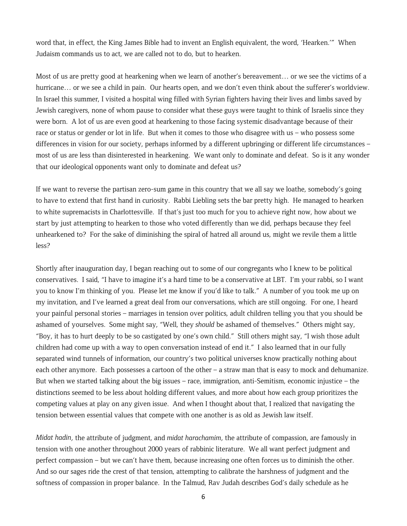word that, in effect, the King James Bible had to invent an English equivalent, the word, 'Hearken.'" When Judaism commands us to act, we are called not to do, but to hearken.

Most of us are pretty good at hearkening when we learn of another's bereavement… or we see the victims of a hurricane… or we see a child in pain. Our hearts open, and we don't even think about the sufferer's worldview. In Israel this summer, I visited a hospital wing filled with Syrian fighters having their lives and limbs saved by Jewish caregivers, none of whom pause to consider what these guys were taught to think of Israelis since they were born. A lot of us are even good at hearkening to those facing systemic disadvantage because of their race or status or gender or lot in life. But when it comes to those who disagree with us – who possess some differences in vision for our society, perhaps informed by a different upbringing or different life circumstances – most of us are less than disinterested in hearkening. We want only to dominate and defeat. So is it any wonder that our ideological opponents want only to dominate and defeat us?

If we want to reverse the partisan zero-sum game in this country that we all say we loathe, somebody's going to have to extend that first hand in curiosity. Rabbi Liebling sets the bar pretty high. He managed to hearken to white supremacists in Charlottesville. If that's just too much for you to achieve right now, how about we start by just attempting to hearken to those who voted differently than we did, perhaps because they feel unhearkened to? For the sake of diminishing the spiral of hatred all around us, might we revile them a little less?

Shortly after inauguration day, I began reaching out to some of our congregants who I knew to be political conservatives. I said, "I have to imagine it's a hard time to be a conservative at LBT. I'm your rabbi, so I want you to know I'm thinking of you. Please let me know if you'd like to talk." A number of you took me up on my invitation, and I've learned a great deal from our conversations, which are still ongoing. For one, I heard your painful personal stories – marriages in tension over politics, adult children telling you that you should be ashamed of yourselves. Some might say, "Well, they *should* be ashamed of themselves." Others might say, "Boy, it has to hurt deeply to be so castigated by one's own child." Still others might say, "I wish those adult children had come up with a way to open conversation instead of end it." I also learned that in our fully separated wind tunnels of information, our country's two political universes know practically nothing about each other anymore. Each possesses a cartoon of the other – a straw man that is easy to mock and dehumanize. But when we started talking about the big issues – race, immigration, anti-Semitism, economic injustice – the distinctions seemed to be less about holding different values, and more about how each group prioritizes the competing values at play on any given issue. And when I thought about that, I realized that navigating the tension between essential values that compete with one another is as old as Jewish law itself.

*Midat hadin*, the attribute of judgment, and *midat harachamim*, the attribute of compassion, are famously in tension with one another throughout 2000 years of rabbinic literature. We all want perfect judgment and perfect compassion – but we can't have them, because increasing one often forces us to diminish the other. And so our sages ride the crest of that tension, attempting to calibrate the harshness of judgment and the softness of compassion in proper balance. In the Talmud, Rav Judah describes God's daily schedule as he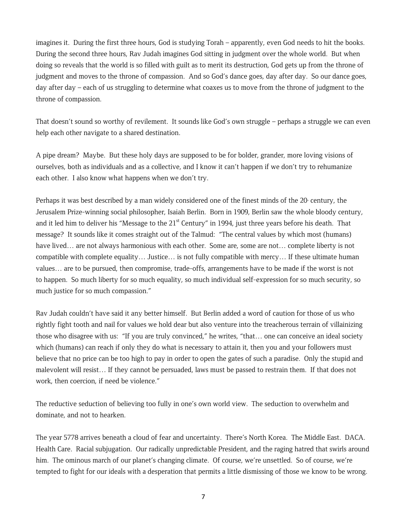imagines it. During the first three hours, God is studying Torah – apparently, even God needs to hit the books. During the second three hours, Rav Judah imagines God sitting in judgment over the whole world. But when doing so reveals that the world is so filled with guilt as to merit its destruction, God gets up from the throne of judgment and moves to the throne of compassion. And so God's dance goes, day after day. So our dance goes, day after day – each of us struggling to determine what coaxes us to move from the throne of judgment to the throne of compassion.

That doesn't sound so worthy of revilement. It sounds like God's own struggle – perhaps a struggle we can even help each other navigate to a shared destination.

A pipe dream? Maybe. But these holy days are supposed to be for bolder, grander, more loving visions of ourselves, both as individuals and as a collective, and I know it can't happen if we don't try to rehumanize each other. I also know what happens when we don't try.

Perhaps it was best described by a man widely considered one of the finest minds of the 20 century, the Jerusalem Prize-winning social philosopher, Isaiah Berlin. Born in 1909, Berlin saw the whole bloody century, and it led him to deliver his "Message to the  $21<sup>st</sup>$  Century" in 1994, just three years before his death. That message? It sounds like it comes straight out of the Talmud: "The central values by which most (humans) have lived… are not always harmonious with each other. Some are, some are not… complete liberty is not compatible with complete equality… Justice… is not fully compatible with mercy… If these ultimate human values… are to be pursued, then compromise, trade-offs, arrangements have to be made if the worst is not to happen. So much liberty for so much equality, so much individual self-expression for so much security, so much justice for so much compassion."

Rav Judah couldn't have said it any better himself. But Berlin added a word of caution for those of us who rightly fight tooth and nail for values we hold dear but also venture into the treacherous terrain of villainizing those who disagree with us: "If you are truly convinced," he writes, "that… one can conceive an ideal society which (humans) can reach if only they do what is necessary to attain it, then you and your followers must believe that no price can be too high to pay in order to open the gates of such a paradise. Only the stupid and malevolent will resist… If they cannot be persuaded, laws must be passed to restrain them. If that does not work, then coercion, if need be violence."

The reductive seduction of believing too fully in one's own world view. The seduction to overwhelm and dominate, and not to hearken.

The year 5778 arrives beneath a cloud of fear and uncertainty. There's North Korea. The Middle East. DACA. Health Care. Racial subjugation. Our radically unpredictable President, and the raging hatred that swirls around him. The ominous march of our planet's changing climate. Of course, we're unsettled. So of course, we're tempted to fight for our ideals with a desperation that permits a little dismissing of those we know to be wrong.